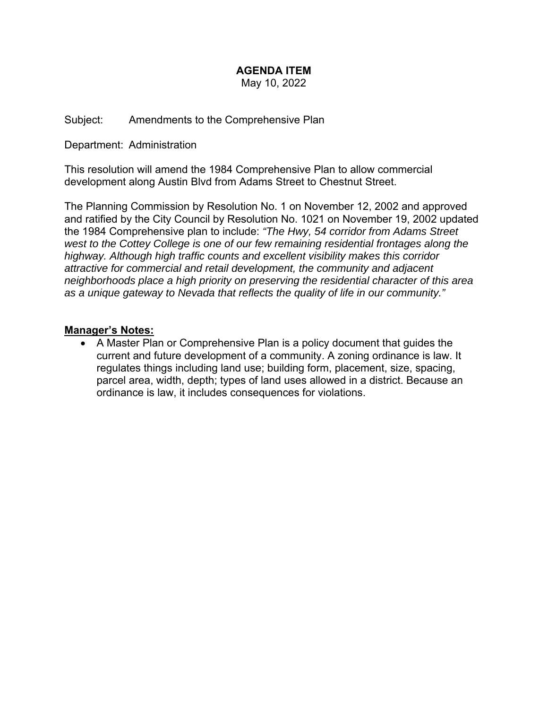# **AGENDA ITEM**

May 10, 2022

Subject: Amendments to the Comprehensive Plan

Department: Administration

This resolution will amend the 1984 Comprehensive Plan to allow commercial development along Austin Blvd from Adams Street to Chestnut Street.

The Planning Commission by Resolution No. 1 on November 12, 2002 and approved and ratified by the City Council by Resolution No. 1021 on November 19, 2002 updated the 1984 Comprehensive plan to include: *"The Hwy, 54 corridor from Adams Street west to the Cottey College is one of our few remaining residential frontages along the highway. Although high traffic counts and excellent visibility makes this corridor attractive for commercial and retail development, the community and adjacent neighborhoods place a high priority on preserving the residential character of this area as a unique gateway to Nevada that reflects the quality of life in our community."* 

#### **Manager's Notes:**

 A Master Plan or Comprehensive Plan is a policy document that guides the current and future development of a community. A zoning ordinance is law. It regulates things including land use; building form, placement, size, spacing, parcel area, width, depth; types of land uses allowed in a district. Because an ordinance is law, it includes consequences for violations.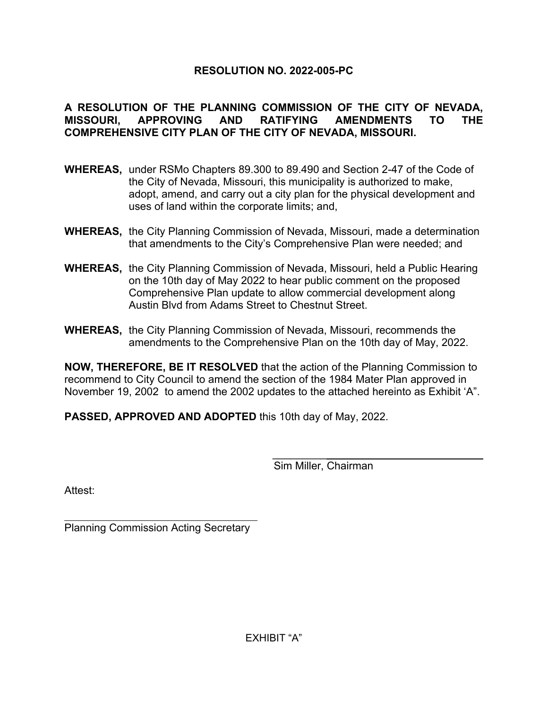## **RESOLUTION NO. 2022-005-PC**

### **A RESOLUTION OF THE PLANNING COMMISSION OF THE CITY OF NEVADA, MISSOURI, APPROVING AND RATIFYING AMENDMENTS TO THE COMPREHENSIVE CITY PLAN OF THE CITY OF NEVADA, MISSOURI.**

- **WHEREAS,** under RSMo Chapters 89.300 to 89.490 and Section 2-47 of the Code of the City of Nevada, Missouri, this municipality is authorized to make, adopt, amend, and carry out a city plan for the physical development and uses of land within the corporate limits; and,
- **WHEREAS,** the City Planning Commission of Nevada, Missouri, made a determination that amendments to the City's Comprehensive Plan were needed; and
- **WHEREAS,** the City Planning Commission of Nevada, Missouri, held a Public Hearing on the 10th day of May 2022 to hear public comment on the proposed Comprehensive Plan update to allow commercial development along Austin Blvd from Adams Street to Chestnut Street.
- **WHEREAS,** the City Planning Commission of Nevada, Missouri, recommends the amendments to the Comprehensive Plan on the 10th day of May, 2022.

**NOW, THEREFORE, BE IT RESOLVED** that the action of the Planning Commission to recommend to City Council to amend the section of the 1984 Mater Plan approved in November 19, 2002 to amend the 2002 updates to the attached hereinto as Exhibit 'A".

**PASSED, APPROVED AND ADOPTED** this 10th day of May, 2022.

\_\_\_\_\_\_\_\_\_

Sim Miller, Chairman

Attest:

 $\overline{a}$ Planning Commission Acting Secretary

EXHIBIT "A"